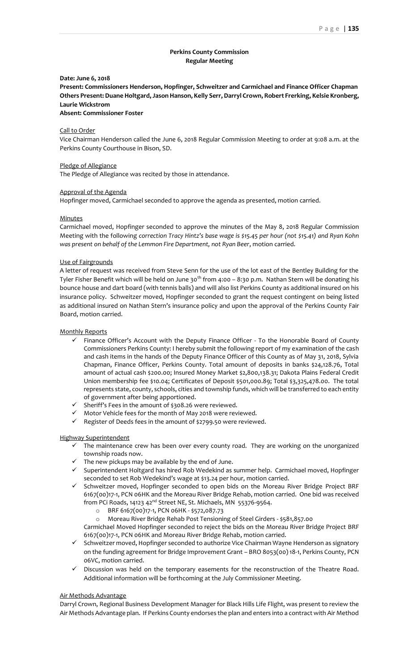# **Perkins County Commission Regular Meeting**

### **Date: June 6, 2018**

**Present: Commissioners Henderson, Hopfinger, Schweitzer and Carmichael and Finance Officer Chapman Others Present: Duane Holtgard, Jason Hanson, Kelly Serr, Darryl Crown, Robert Frerking, Kelsie Kronberg, Laurie Wickstrom**

**Absent: Commissioner Foster**

### Call to Order

Vice Chairman Henderson called the June 6, 2018 Regular Commission Meeting to order at 9:08 a.m. at the Perkins County Courthouse in Bison, SD.

#### Pledge of Allegiance

The Pledge of Allegiance was recited by those in attendance.

#### Approval of the Agenda

Hopfinger moved, Carmichael seconded to approve the agenda as presented, motion carried.

#### Minutes

Carmichael moved, Hopfinger seconded to approve the minutes of the May 8, 2018 Regular Commission Meeting with the following *correction Tracy Hintz's base wage is \$15.45 per hour (not \$15.41) and Ryan Kohn was present on behalf of the Lemmon Fire Department, not Ryan Beer*, motion carried.

### Use of Fairgrounds

A letter of request was received from Steve Senn for the use of the lot east of the Bentley Building for the Tyler Fisher Benefit which will be held on June 30<sup>th</sup> from 4:00 - 8:30 p.m. Nathan Stern will be donating his bounce house and dart board (with tennis balls) and will also list Perkins County as additional insured on his insurance policy. Schweitzer moved, Hopfinger seconded to grant the request contingent on being listed as additional insured on Nathan Stern's insurance policy and upon the approval of the Perkins County Fair Board, motion carried.

### Monthly Reports

- ✓ Finance Officer's Account with the Deputy Finance Officer To the Honorable Board of County Commissioners Perkins County: I hereby submit the following report of my examination of the cash and cash items in the hands of the Deputy Finance Officer of this County as of May 31, 2018, Sylvia Chapman, Finance Officer, Perkins County. Total amount of deposits in banks \$24,128.76, Total amount of actual cash \$200.00; Insured Money Market \$2,800,138.31; Dakota Plains Federal Credit Union membership fee \$10.04; Certificates of Deposit \$501,000.89; Total \$3,325,478.00. The total represents state, county, schools, cities and township funds, which will be transferred to each entity of government after being apportioned.
- ✓ Sheriff's Fees in the amount of \$308.26 were reviewed.
- ✓ Motor Vehicle fees for the month of May 2018 were reviewed.
- ✓ Register of Deeds fees in the amount of \$2799.50 were reviewed.

### Highway Superintendent

- $\checkmark$  The maintenance crew has been over every county road. They are working on the unorganized township roads now.
- $\checkmark$  The new pickups may be available by the end of June.
- ✓ Superintendent Holtgard has hired Rob Wedekind as summer help. Carmichael moved, Hopfinger seconded to set Rob Wedekind's wage at \$13.24 per hour, motion carried.
- ✓ Schweitzer moved, Hopfinger seconded to open bids on the Moreau River Bridge Project BRF 6167(00)17-1, PCN 06HK and the Moreau River Bridge Rehab, motion carried. One bid was received from PCi Roads, 14123 42<sup>nd</sup> Street NE, St. Michaels, MN 55376-9564.
	- o BRF 6167(00)17-1, PCN 06HK \$572,087.73
	- o Moreau River Bridge Rehab Post Tensioning of Steel Girders \$581,857.00
	- Carmichael Moved Hopfinger seconded to reject the bids on the Moreau River Bridge Project BRF 6167(00)17-1, PCN 06HK and Moreau River Bridge Rehab, motion carried.
- $\checkmark$  Schweitzer moved, Hopfinger seconded to authorize Vice Chairman Wayne Henderson as signatory on the funding agreement for Bridge Improvement Grant – BRO 8053(00) 18-1, Perkins County, PCN 06VC, motion carried.
- Discussion was held on the temporary easements for the reconstruction of the Theatre Road. Additional information will be forthcoming at the July Commissioner Meeting.

# Air Methods Advantage

Darryl Crown, Regional Business Development Manager for Black Hills Life Flight, was present to review the Air Methods Advantage plan. If Perkins County endorses the plan and enters into a contract with Air Method